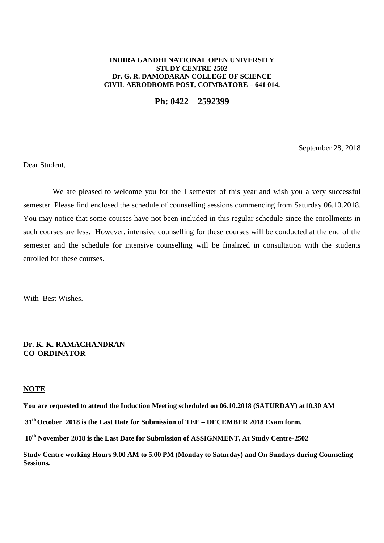## **INDIRA GANDHI NATIONAL OPEN UNIVERSITY STUDY CENTRE 2502 Dr. G. R. DAMODARAN COLLEGE OF SCIENCE CIVIL AERODROME POST, COIMBATORE – 641 014.**

**Ph: 0422 – 2592399**

September 28, 2018

Dear Student,

We are pleased to welcome you for the I semester of this year and wish you a very successful semester. Please find enclosed the schedule of counselling sessions commencing from Saturday 06.10.2018. You may notice that some courses have not been included in this regular schedule since the enrollments in such courses are less. However, intensive counselling for these courses will be conducted at the end of the semester and the schedule for intensive counselling will be finalized in consultation with the students enrolled for these courses.

With Best Wishes.

# **Dr. K. K. RAMACHANDRAN CO-ORDINATOR**

### **NOTE**

**You are requested to attend the Induction Meeting scheduled on 06.10.2018 (SATURDAY) at10.30 AM**

**31 thOctober 2018 is the Last Date for Submission of TEE – DECEMBER 2018 Exam form.**

**10th November 2018 is the Last Date for Submission of ASSIGNMENT, At Study Centre-2502**

**Study Centre working Hours 9.00 AM to 5.00 PM (Monday to Saturday) and On Sundays during Counseling Sessions.**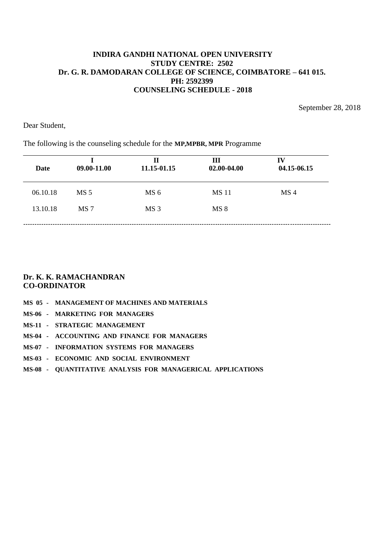September 28, 2018

Dear Student,

# The following is the counseling schedule for the **MP,MPBR, MPR** Programme

| Date     | 09.00-11.00     | Н<br>11.15-01.15 | Ш<br>02.00-04.00 | IV<br>04.15-06.15 |
|----------|-----------------|------------------|------------------|-------------------|
| 06.10.18 | MS <sub>5</sub> | MS <sub>6</sub>  | <b>MS11</b>      | MS <sub>4</sub>   |
| 13.10.18 | MS <sub>7</sub> | MS <sub>3</sub>  | MS 8             |                   |
|          |                 |                  |                  |                   |

# **Dr. K. K. RAMACHANDRAN CO-ORDINATOR**

- **MS 05 MANAGEMENT OF MACHINES AND MATERIALS**
- **MS-06 MARKETING FOR MANAGERS**
- **MS-11 STRATEGIC MANAGEMENT**
- **MS-04 ACCOUNTING AND FINANCE FOR MANAGERS**
- **MS-07 INFORMATION SYSTEMS FOR MANAGERS**
- **MS-03 ECONOMIC AND SOCIAL ENVIRONMENT**
- **MS-08 QUANTITATIVE ANALYSIS FOR MANAGERICAL APPLICATIONS**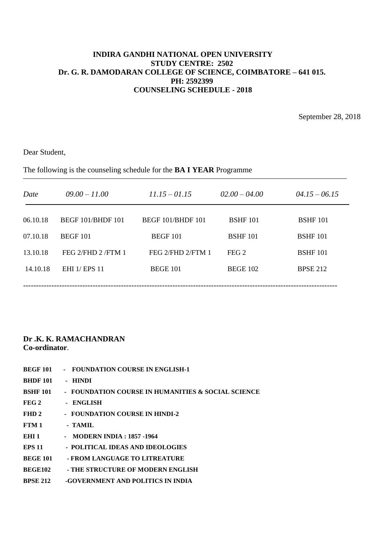September 28, 2018

Dear Student,

The following is the counseling schedule for the **BA I YEAR** Programme

| Date     | $09.00 - 11.00$             | $11.15 - 01.15$          | $02.00 - 04.00$  | $04.15 - 06.15$ |
|----------|-----------------------------|--------------------------|------------------|-----------------|
| 06.10.18 | <b>BEGF 101/BHDF 101</b>    | <b>BEGF 101/BHDF 101</b> | <b>BSHF 101</b>  | <b>BSHF 101</b> |
| 07.10.18 | <b>BEGF 101</b>             | BEGF 101                 | <b>BSHF 101</b>  | <b>BSHF 101</b> |
| 13.10.18 | FEG 2/FHD 2/FTM 1           | FEG 2/FHD 2/FTM 1        | FEG <sub>2</sub> | <b>BSHF 101</b> |
| 14.10.18 | <b>EHI</b> 1/ <b>EPS</b> 11 | <b>BEGE 101</b>          | <b>BEGE 102</b>  | <b>BPSE 212</b> |
|          |                             |                          |                  |                 |

- **BEGF 101 FOUNDATION COURSE IN ENGLISH-1**
- **BHDF 101 HINDI**
- **BSHF 101 FOUNDATION COURSE IN HUMANITIES & SOCIAL SCIENCE**
- FEG 2 ENGLISH
- FHD 2 FOUNDATION COURSE IN HINDI-2
- **FTM 1 - TAMIL**
- **EHI 1 MODERN INDIA : 1857 -1964**
- **EPS 11 POLITICAL IDEAS AND IDEOLOGIES**
- **BEGE 101 - FROM LANGUAGE TO LITREATURE**
- **BEGE102 - THE STRUCTURE OF MODERN ENGLISH**
- **BPSE 212 -GOVERNMENT AND POLITICS IN INDIA**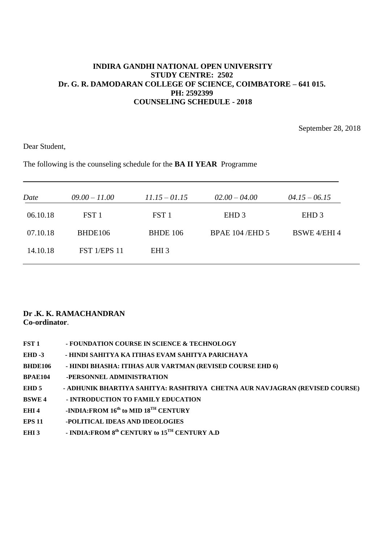September 28, 2018

Dear Student,

The following is the counseling schedule for the **BA II YEAR** Programme

| Date     | $09.00 - 11.00$     | $11.15 - 01.15$  | $02.00 - 04.00$         | $04.15 - 06.15$     |
|----------|---------------------|------------------|-------------------------|---------------------|
| 06.10.18 | FST <sub>1</sub>    | FST <sub>1</sub> | EHD <sub>3</sub>        | EHD <sub>3</sub>    |
| 07.10.18 | BHDE106             | <b>BHDE 106</b>  | <b>BPAE 104 / EHD 5</b> | <b>BSWE 4/EHI 4</b> |
| 14.10.18 | <b>FST 1/EPS 11</b> | EHI <sub>3</sub> |                         |                     |

| FST 1            | - FOUNDATION COURSE IN SCIENCE & TECHNOLOGY                                  |
|------------------|------------------------------------------------------------------------------|
| $EHD -3$         | - HINDI SAHITYA KA ITIHAS EVAM SAHITYA PARICHAYA                             |
| <b>BHDE106</b>   | - HINDI BHASHA: ITIHAS AUR VARTMAN (REVISED COURSE EHD 6)                    |
| <b>BPAE104</b>   | -PERSONNEL ADMINISTRATION                                                    |
| EHD 5            | - ADHUNIK BHARTIYA SAHITYA: RASHTRIYA  CHETNA AUR NAVJAGRAN (REVISED COURSE) |
| <b>BSWE4</b>     | - INTRODUCTION TO FAMILY EDUCATION                                           |
| EHI 4            | -INDIA: FROM $16^{th}$ to MID $18^{TH}$ CENTURY                              |
| <b>EPS 11</b>    | -POLITICAL IDEAS AND IDEOLOGIES                                              |
| EHI <sub>3</sub> | - INDIA: FROM 8 <sup>th</sup> CENTURY to 15 <sup>TH</sup> CENTURY A.D        |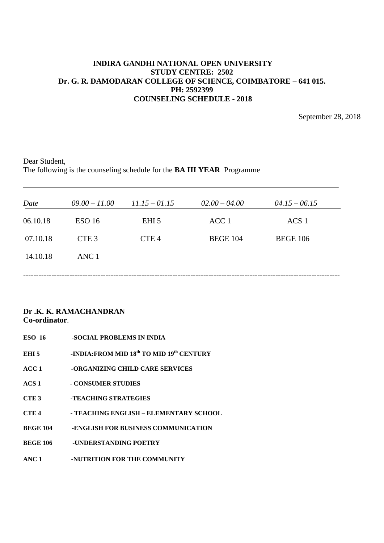September 28, 2018

Dear Student, The following is the counseling schedule for the **BA III YEAR** Programme

| Date     | $09.00 - 11.00$   | $11.15 - 01.15$  | $02.00 - 04.00$ | $04.15 - 06.15$  |  |
|----------|-------------------|------------------|-----------------|------------------|--|
| 06.10.18 | ESO <sub>16</sub> | EHI <sub>5</sub> | ACC 1           | ACS <sub>1</sub> |  |
| 07.10.18 | CTE <sub>3</sub>  | CTE <sub>4</sub> | <b>BEGE 104</b> | <b>BEGE 106</b>  |  |
| 14.10.18 | ANC 1             |                  |                 |                  |  |
|          |                   |                  |                 |                  |  |

# **Dr .K. K. RAMACHANDRAN Co-ordinator**.

**ESO 16 -SOCIAL PROBLEMS IN INDIA EHI 5 -INDIA:FROM MID 18th TO MID 19th CENTURY ACC 1 -ORGANIZING CHILD CARE SERVICES ACS 1 - CONSUMER STUDIES CTE 3 -TEACHING STRATEGIES CTE 4 - TEACHING ENGLISH – ELEMENTARY SCHOOL BEGE 104 -ENGLISH FOR BUSINESS COMMUNICATION BEGE 106 -UNDERSTANDING POETRY ANC 1 -NUTRITION FOR THE COMMUNITY**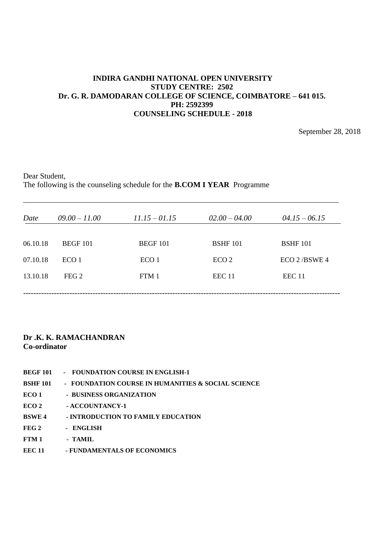September 28, 2018

Dear Student, The following is the counseling schedule for the **B.COM I YEAR** Programme

| Date     | $09.00 - 11.00$  | $11.15 - 01.15$  | $02.00 - 04.00$   | $04.15 - 06.15$ |
|----------|------------------|------------------|-------------------|-----------------|
| 06.10.18 | <b>BEGF 101</b>  | <b>BEGF 101</b>  | <b>BSHF</b> 101   | <b>BSHF</b> 101 |
| 07.10.18 | ECO <sub>1</sub> | ECO <sub>1</sub> | ECO <sub>2</sub>  | $ECO$ 2/BSWE 4  |
| 13.10.18 | FEG <sub>2</sub> | FTM 1            | EEC <sub>11</sub> | EEC 11          |
|          |                  |                  |                   |                 |

- **BEGF 101 FOUNDATION COURSE IN ENGLISH-1**
- **BSHF 101 FOUNDATION COURSE IN HUMANITIES & SOCIAL SCIENCE**
- **ECO 1** BUSINESS ORGANIZATION
- ECO 2 **ACCOUNTANCY-1**
- **BSWE 4 - INTRODUCTION TO FAMILY EDUCATION**
- FEG 2 ENGLISH
- **FTM 1 - TAMIL**
- **EEC 11 - FUNDAMENTALS OF ECONOMICS**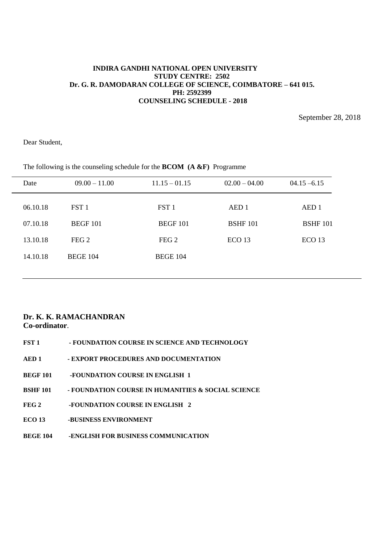September 28, 2018

Dear Student,

| Date     | $09.00 - 11.00$  | $11.15 - 01.15$  | $02.00 - 04.00$   | $04.15 - 6.15$    |
|----------|------------------|------------------|-------------------|-------------------|
| 06.10.18 | FST 1            | FST <sub>1</sub> | AED 1             | AED <sub>1</sub>  |
| 07.10.18 | <b>BEGF 101</b>  | <b>BEGF 101</b>  | <b>BSHF 101</b>   | <b>BSHF</b> 101   |
| 13.10.18 | FEG <sub>2</sub> | FEG <sub>2</sub> | ECO <sub>13</sub> | ECO <sub>13</sub> |
| 14.10.18 | <b>BEGE 104</b>  | <b>BEGE 104</b>  |                   |                   |
|          |                  |                  |                   |                   |

The following is the counseling schedule for the **BCOM (A &F)** Programme

| FST 1            | - FOUNDATION COURSE IN SCIENCE AND TECHNOLOGY      |
|------------------|----------------------------------------------------|
| AED 1            | - EXPORT PROCEDURES AND DOCUMENTATION              |
| <b>BEGF 101</b>  | -FOUNDATION COURSE IN ENGLISH 1                    |
| <b>BSHF 101</b>  | - FOUNDATION COURSE IN HUMANITIES & SOCIAL SCIENCE |
| FEG <sub>2</sub> | -FOUNDATION COURSE IN ENGLISH 2                    |
| ECO 13           | -BUSINESS ENVIRONMENT                              |
| <b>BEGE 104</b>  | -ENGLISH FOR BUSINESS COMMUNICATION                |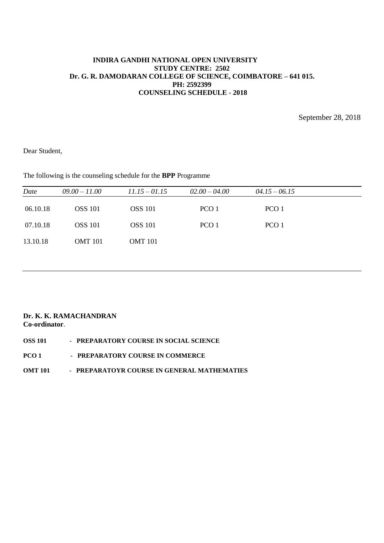September 28, 2018

Dear Student,

The following is the counseling schedule for the **BPP** Programme

| Date     | $09.00 - 11.00$ | $11.15 - 01.15$ | $02.00 - 04.00$  | $04.15 - 06.15$ |  |
|----------|-----------------|-----------------|------------------|-----------------|--|
| 06.10.18 | <b>OSS</b> 101  | <b>OSS</b> 101  | PCO <sub>1</sub> | PCO 1           |  |
| 07.10.18 | <b>OSS</b> 101  | <b>OSS</b> 101  | PCO <sub>1</sub> | PCO 1           |  |
| 13.10.18 | <b>OMT</b> 101  | <b>OMT</b> 101  |                  |                 |  |
|          |                 |                 |                  |                 |  |

## **Dr. K. K. RAMACHANDRAN Co-ordinator**.

| <b>OSS 101</b> |  | - PREPARATORY COURSE IN SOCIAL SCIENCE |  |
|----------------|--|----------------------------------------|--|
|----------------|--|----------------------------------------|--|

**PCO 1 - PREPARATORY COURSE IN COMMERCE** 

## **OMT 101 - PREPARATOYR COURSE IN GENERAL MATHEMATIES**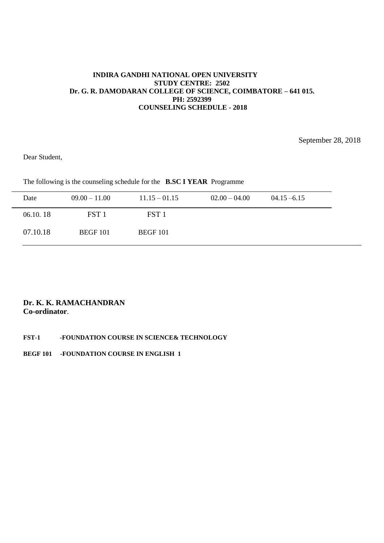September 28, 2018

Dear Student,

The following is the counseling schedule for the **B.SC I YEAR** Programme

| Date     | $09.00 - 11.00$  | $11.15 - 01.15$  | $02.00 - 04.00$ | $04.15 - 6.15$ |  |
|----------|------------------|------------------|-----------------|----------------|--|
| 06.10.18 | FST <sub>1</sub> | FST <sub>1</sub> |                 |                |  |
| 07.10.18 | <b>BEGF 101</b>  | <b>BEGF 101</b>  |                 |                |  |

# **Dr. K. K. RAMACHANDRAN Co-ordinator**.

**FST-1 -FOUNDATION COURSE IN SCIENCE& TECHNOLOGY**

**BEGF 101 -FOUNDATION COURSE IN ENGLISH 1**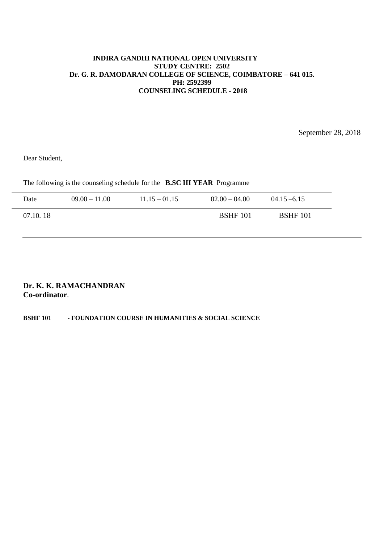September 28, 2018

Dear Student,

The following is the counseling schedule for the **B.SC III YEAR** Programme

| Date     | $09.00 - 11.00$ | $11.15 - 01.15$ | $02.00 - 04.00$ | $04.15 - 6.15$  |
|----------|-----------------|-----------------|-----------------|-----------------|
| 07.10.18 |                 |                 | <b>BSHF</b> 101 | <b>BSHF</b> 101 |

# **Dr. K. K. RAMACHANDRAN Co-ordinator**.

# **BSHF 101 - FOUNDATION COURSE IN HUMANITIES & SOCIAL SCIENCE**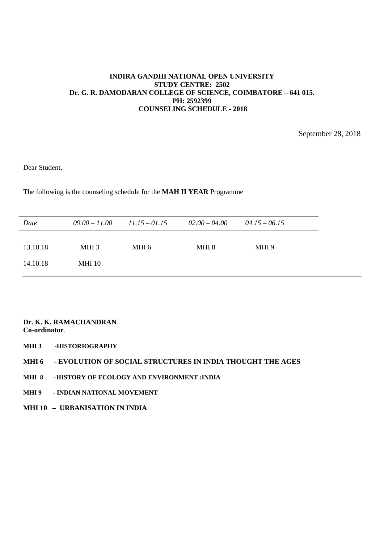September 28, 2018

Dear Student,

The following is the counseling schedule for the **MAH II YEAR** Programme

| Date     | $09.00 - 11.00$ | $11.15 - 01.15$ | $02.00 - 04.00$ | $04.15 - 06.15$ |
|----------|-----------------|-----------------|-----------------|-----------------|
| 13.10.18 | MHI 3           | MHI 6           | MHI 8           | MHI 9           |
| 14.10.18 | MHI 10          |                 |                 |                 |

- **MHI 3 -HISTORIOGRAPHY**
- **MHI 6 - EVOLUTION OF SOCIAL STRUCTURES IN INDIA THOUGHT THE AGES**
- **MHI 8 –HISTORY OF ECOLOGY AND ENVIRONMENT :INDIA**
- **MHI 9 - INDIAN NATIONAL MOVEMENT**
- **MHI 10 – URBANISATION IN INDIA**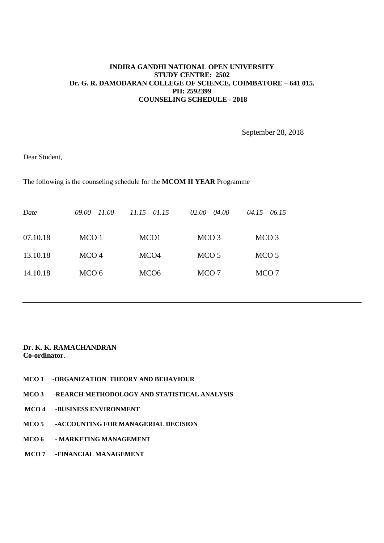September 28, 2018

Dear Student,

The following is the counseling schedule for the **MCOM II YEAR** Programme

| Date     | $09.00 - 11.00$  | $11.15 - 01.15$  | $02.00 - 04.00$  | $04.15 - 06.15$  |  |
|----------|------------------|------------------|------------------|------------------|--|
|          |                  |                  |                  |                  |  |
| 07.10.18 | MCO <sub>1</sub> | MCO <sub>1</sub> | MCO <sub>3</sub> | MCO <sub>3</sub> |  |
| 13.10.18 | MCO <sub>4</sub> | MCO <sub>4</sub> | MCO <sub>5</sub> | MCO <sub>5</sub> |  |
| 14.10.18 | MCO 6            | MCO <sub>6</sub> | MCO 7            | MCO 7            |  |

- **MCO 1 -ORGANIZATION THEORY AND BEHAVIOUR**
- **MCO 3 -REARCH METHODOLOGY AND STATISTICAL ANALYSIS**
- **MCO 4 -BUSINESS ENVIRONMENT**
- **MCO 5 -ACCOUNTING FOR MANAGERIAL DECISION**
- **MCO 6 - MARKETING MANAGEMENT**
- **MCO 7 -FINANCIAL MANAGEMENT**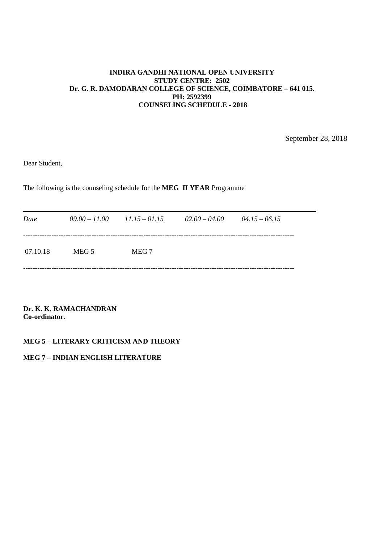September 28, 2018

Dear Student,

The following is the counseling schedule for the **MEG II YEAR** Programme

| Date     | $09.00 - 11.00$ $11.15 - 01.15$ |       | $02.00 - 04.00$ | $04.15 - 06.15$ |
|----------|---------------------------------|-------|-----------------|-----------------|
| 07.10.18 | MEG 5                           | MEG 7 |                 |                 |

**Dr. K. K. RAMACHANDRAN Co-ordinator**.

# **MEG 5 – LITERARY CRITICISM AND THEORY**

# **MEG 7 – INDIAN ENGLISH LITERATURE**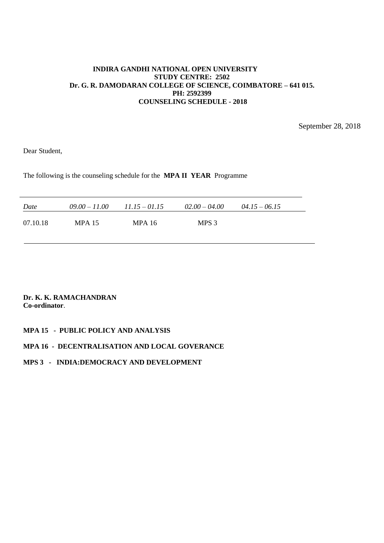September 28, 2018

Dear Student,

The following is the counseling schedule for the **MPA II YEAR** Programme

| Date     | $09.00 - 11.00$ | $11.15 - 01.15$ | $02.00 - 04.00$ | $04.15 - 06.15$ |
|----------|-----------------|-----------------|-----------------|-----------------|
| 07.10.18 | <b>MPA 15</b>   | MPA 16          | MPS 3           |                 |

**Dr. K. K. RAMACHANDRAN Co-ordinator**.

# **MPA 15 - PUBLIC POLICY AND ANALYSIS**

### **MPA 16 - DECENTRALISATION AND LOCAL GOVERANCE**

# **MPS 3 - INDIA:DEMOCRACY AND DEVELOPMENT**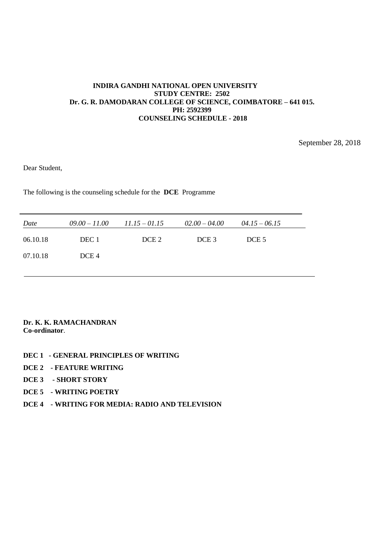September 28, 2018

Dear Student,

The following is the counseling schedule for the **DCE** Programme

| Date     | $09.00 - 11.00$  | $11.15 - 01.15$  | $02.00 - 04.00$  | $04.15 - 06.15$  |  |
|----------|------------------|------------------|------------------|------------------|--|
| 06.10.18 | DEC 1            | DCE <sub>2</sub> | DCE <sub>3</sub> | DCE <sub>5</sub> |  |
| 07.10.18 | DCE <sub>4</sub> |                  |                  |                  |  |

- **DEC 1 - GENERAL PRINCIPLES OF WRITING**
- **DCE 2 - FEATURE WRITING**
- **DCE 3 - SHORT STORY**
- **DCE 5 - WRITING POETRY**
- **DCE 4 - WRITING FOR MEDIA: RADIO AND TELEVISION**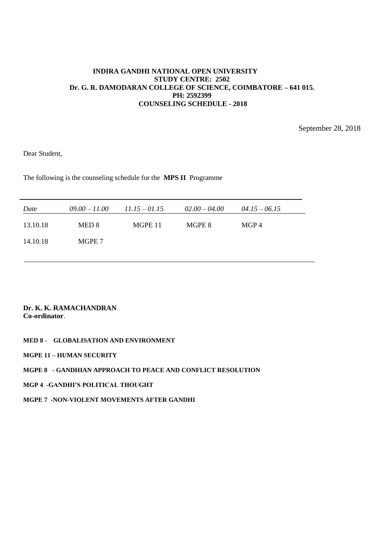September 28, 2018

Dear Student,

The following is the counseling schedule for the **MPS II** Programme

| Date     | $09.00 - 11.00$ | $11.15 - 01.15$ | $02.00 - 04.00$ | $04.15 - 06.15$ |
|----------|-----------------|-----------------|-----------------|-----------------|
| 13.10.18 | MED 8           | MGPE 11         | MGPE 8          | MGP4            |
| 14.10.18 | MGPE 7          |                 |                 |                 |
|          |                 |                 |                 |                 |

**Dr. K. K. RAMACHANDRAN Co-ordinator**.

**MED 8 - GLOBALISATION AND ENVIRONMENT**

**MGPE 11 – HUMAN SECURITY**

## **MGPE 8 - GANDHIAN APPROACH TO PEACE AND CONFLICT RESOLUTION**

**MGP 4 -GANDHI'S POLITICAL THOUGHT**

**MGPE 7 -NON-VIOLENT MOVEMENTS AFTER GANDHI**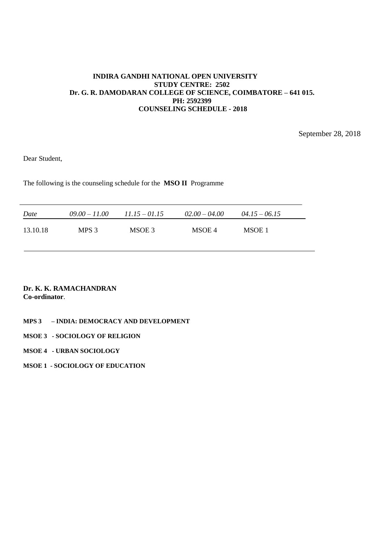September 28, 2018

Dear Student,

The following is the counseling schedule for the **MSO II** Programme

| Date     | $09.00 - 11.00$ | $11.15 - 01.15$ | $02.00 - 04.00$ | $04.15 - 06.15$ |
|----------|-----------------|-----------------|-----------------|-----------------|
| 13.10.18 | MPS 3           | MSOE 3          | MSOE 4          | MSOE 1          |

## **Dr. K. K. RAMACHANDRAN Co-ordinator**.

# **MPS 3 – INDIA: DEMOCRACY AND DEVELOPMENT**

# **MSOE 3 - SOCIOLOGY OF RELIGION**

**MSOE 4 - URBAN SOCIOLOGY**

**MSOE 1 - SOCIOLOGY OF EDUCATION**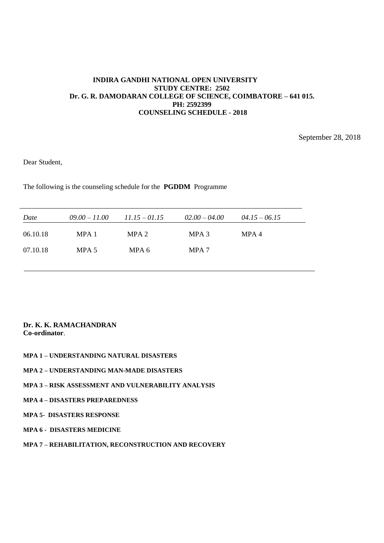September 28, 2018

Dear Student,

The following is the counseling schedule for the **PGDDM** Programme

| Date     | $09.00 - 11.00$ | $11.15 - 01.15$ | $02.00 - 04.00$  | $04.15 - 06.15$ |
|----------|-----------------|-----------------|------------------|-----------------|
| 06.10.18 | MPA 1           | MPA 2           | MPA 3            | MPA 4           |
| 07.10.18 | MPA 5           | MPA 6           | MPA <sub>7</sub> |                 |
|          |                 |                 |                  |                 |

- **MPA 1 – UNDERSTANDING NATURAL DISASTERS**
- **MPA 2 – UNDERSTANDING MAN-MADE DISASTERS**
- **MPA 3 – RISK ASSESSMENT AND VULNERABILITY ANALYSIS**
- **MPA 4 – DISASTERS PREPAREDNESS**
- **MPA 5- DISASTERS RESPONSE**
- **MPA 6 DISASTERS MEDICINE**
- **MPA 7 – REHABILITATION, RECONSTRUCTION AND RECOVERY**